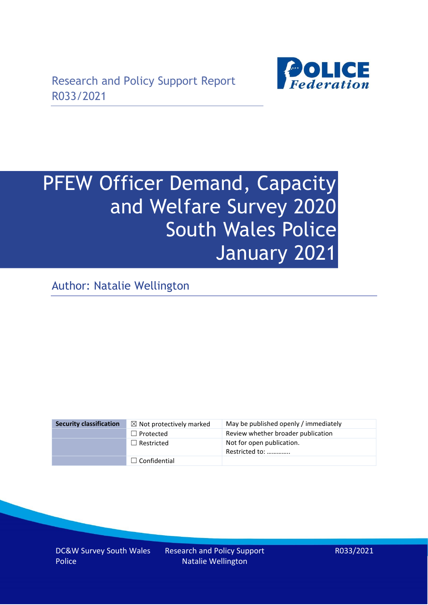

# PFEW Officer Demand, Capacity and Welfare Survey 2020 South Wales Police January 2021

Author: Natalie Wellington

| <b>Security classification</b> | $\boxtimes$ Not protectively marked | May be published openly / immediately       |
|--------------------------------|-------------------------------------|---------------------------------------------|
|                                | $\Box$ Protected                    | Review whether broader publication          |
|                                | $\Box$ Restricted                   | Not for open publication.<br>Restricted to: |
|                                | $\Box$ Confidential                 |                                             |

DC&W Survey South Wales Police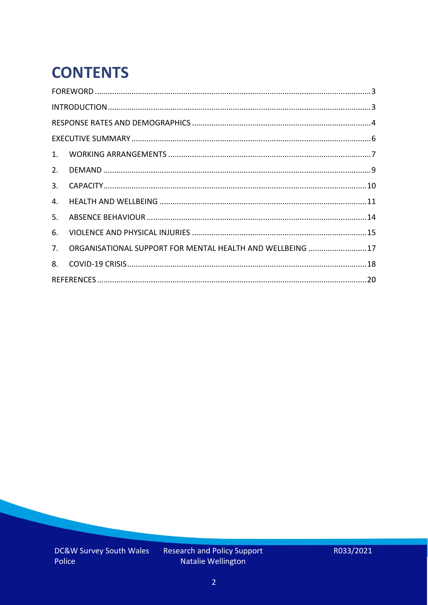# **CONTENTS**

| 2.          |                                                            |  |
|-------------|------------------------------------------------------------|--|
| 3.          |                                                            |  |
| 4.          |                                                            |  |
| 5.          |                                                            |  |
| 6.          |                                                            |  |
| $7_{\cdot}$ | ORGANISATIONAL SUPPORT FOR MENTAL HEALTH AND WELLBEING  17 |  |
| 8.          |                                                            |  |
|             |                                                            |  |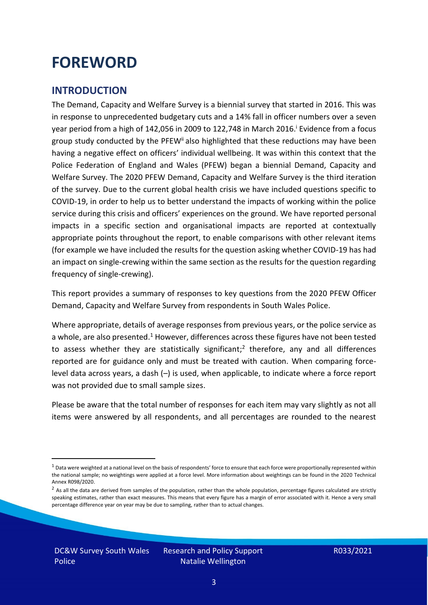### <span id="page-2-0"></span>**FOREWORD**

#### <span id="page-2-1"></span>**INTRODUCTION**

The Demand, Capacity and Welfare Survey is a biennial survey that started in 2016. This was in response to unprecedented budgetary cuts and a 14% fall in officer numbers over a seven year period from a high of 142,056 in 2009 to 122,748 in March 2016. <sup>i</sup> Evidence from a focus group study conducted by the PFEW<sup>ii</sup> also highlighted that these reductions may have been having a negative effect on officers' individual wellbeing. It was within this context that the Police Federation of England and Wales (PFEW) began a biennial Demand, Capacity and Welfare Survey. The 2020 PFEW Demand, Capacity and Welfare Survey is the third iteration of the survey. Due to the current global health crisis we have included questions specific to COVID-19, in order to help us to better understand the impacts of working within the police service during this crisis and officers' experiences on the ground. We have reported personal impacts in a specific section and organisational impacts are reported at contextually appropriate points throughout the report, to enable comparisons with other relevant items (for example we have included the results for the question asking whether COVID-19 has had an impact on single-crewing within the same section as the results for the question regarding frequency of single-crewing).

This report provides a summary of responses to key questions from the 2020 PFEW Officer Demand, Capacity and Welfare Survey from respondents in South Wales Police.

Where appropriate, details of average responses from previous years, or the police service as a whole, are also presented.<sup>1</sup> However, differences across these figures have not been tested to assess whether they are statistically significant;<sup>2</sup> therefore, any and all differences reported are for guidance only and must be treated with caution. When comparing forcelevel data across years, a dash (–) is used, when applicable, to indicate where a force report was not provided due to small sample sizes.

Please be aware that the total number of responses for each item may vary slightly as not all items were answered by all respondents, and all percentages are rounded to the nearest

 $1$  Data were weighted at a national level on the basis of respondents' force to ensure that each force were proportionally represented within the national sample; no weightings were applied at a force level. More information about weightings can be found in the 2020 Technical Annex R098/2020.

 $2$  As all the data are derived from samples of the population, rather than the whole population, percentage figures calculated are strictly speaking estimates, rather than exact measures. This means that every figure has a margin of error associated with it. Hence a very small percentage difference year on year may be due to sampling, rather than to actual changes.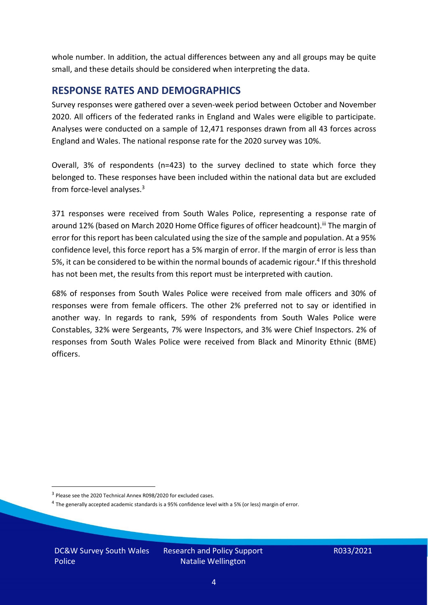whole number. In addition, the actual differences between any and all groups may be quite small, and these details should be considered when interpreting the data.

#### <span id="page-3-0"></span>**RESPONSE RATES AND DEMOGRAPHICS**

Survey responses were gathered over a seven-week period between October and November 2020. All officers of the federated ranks in England and Wales were eligible to participate. Analyses were conducted on a sample of 12,471 responses drawn from all 43 forces across England and Wales. The national response rate for the 2020 survey was 10%.

Overall, 3% of respondents (n=423) to the survey declined to state which force they belonged to. These responses have been included within the national data but are excluded from force-level analyses.<sup>3</sup>

371 responses were received from South Wales Police, representing a response rate of around 12% (based on March 2020 Home Office figures of officer headcount).<sup>iii</sup> The margin of error for this report has been calculated using the size of the sample and population. At a 95% confidence level, this force report has a 5% margin of error. If the margin of error is less than 5%, it can be considered to be within the normal bounds of academic rigour.<sup>4</sup> If this threshold has not been met, the results from this report must be interpreted with caution.

68% of responses from South Wales Police were received from male officers and 30% of responses were from female officers. The other 2% preferred not to say or identified in another way. In regards to rank, 59% of respondents from South Wales Police were Constables, 32% were Sergeants, 7% were Inspectors, and 3% were Chief Inspectors. 2% of responses from South Wales Police were received from Black and Minority Ethnic (BME) officers.

DC&W Survey South Wales Police

<sup>&</sup>lt;sup>3</sup> Please see the 2020 Technical Annex R098/2020 for excluded cases.

<sup>&</sup>lt;sup>4</sup> The generally accepted academic standards is a 95% confidence level with a 5% (or less) margin of error.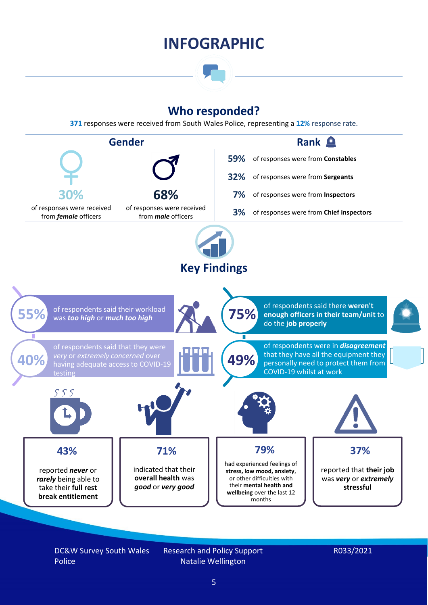### **INFOGRAPHIC**

### **Who responded?**

**371** responses were received from South Wales Police, representing a **12%** response rate.



DC&W Survey South Wales Police

Research and Policy Support Natalie Wellington

#### R033/2021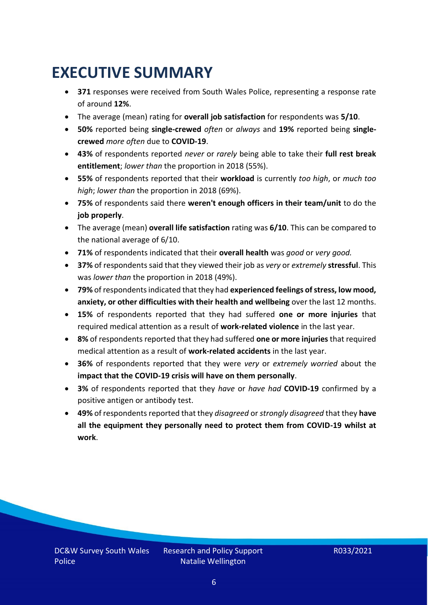# <span id="page-5-0"></span>**EXECUTIVE SUMMARY**

- **371** responses were received from South Wales Police, representing a response rate of around **12%**.
- The average (mean) rating for **overall job satisfaction** for respondents was **5/10**.
- **50%** reported being **single-crewed** *often* or *always* and **19%** reported being **singlecrewed** *more often* due to **COVID-19**.
- **43%** of respondents reported *never* or *rarely* being able to take their **full rest break entitlement**; *lower than* the proportion in 2018 (55%).
- **55%** of respondents reported that their **workload** is currently *too high*, or *much too high*; *lower than* the proportion in 2018 (69%).
- **75%** of respondents said there **weren't enough officers in their team/unit** to do the **job properly**.
- The average (mean) **overall life satisfaction** rating was **6/10**. This can be compared to the national average of 6/10.
- **71%** of respondents indicated that their **overall health** was *good* or *very good.*
- **37%** of respondents said that they viewed their job as *very* or *extremely* **stressful**. This was *lower than* the proportion in 2018 (49%).
- **79%** of respondents indicated that they had **experienced feelings of stress, low mood, anxiety, or other difficulties with their health and wellbeing** over the last 12 months.
- **15%** of respondents reported that they had suffered **one or more injuries** that required medical attention as a result of **work-related violence** in the last year.
- **8%** of respondents reported that they had suffered **one or more injuries**that required medical attention as a result of **work-related accidents** in the last year.
- **36%** of respondents reported that they were *very* or *extremely worried* about the **impact that the COVID-19 crisis will have on them personally**.
- **3%** of respondents reported that they *have* or *have had* **COVID-19** confirmed by a positive antigen or antibody test.
- **49%** of respondents reported that they *disagreed* or *strongly disagreed* that they **have all the equipment they personally need to protect them from COVID-19 whilst at work**.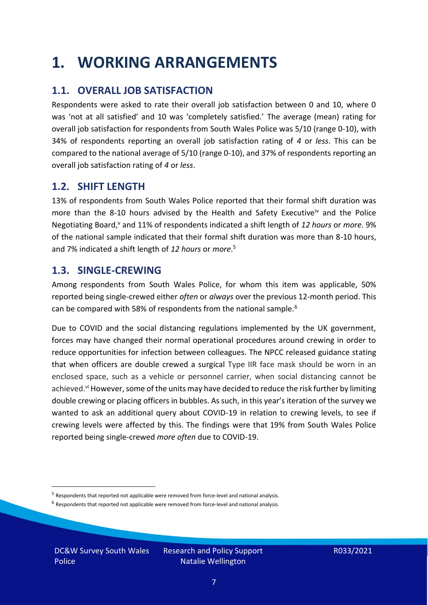### <span id="page-6-0"></span>**1. WORKING ARRANGEMENTS**

### **1.1. OVERALL JOB SATISFACTION**

Respondents were asked to rate their overall job satisfaction between 0 and 10, where 0 was 'not at all satisfied' and 10 was 'completely satisfied.' The average (mean) rating for overall job satisfaction for respondents from South Wales Police was 5/10 (range 0-10), with 34% of respondents reporting an overall job satisfaction rating of *4* or *less*. This can be compared to the national average of 5/10 (range 0-10), and 37% of respondents reporting an overall job satisfaction rating of *4* or *less*.

### **1.2. SHIFT LENGTH**

13% of respondents from South Wales Police reported that their formal shift duration was more than the 8-10 hours advised by the Health and Safety Executive<sup>iv</sup> and the Police Negotiating Board,<sup>v</sup> and 11% of respondents indicated a shift length of 12 hours or *more*. 9% of the national sample indicated that their formal shift duration was more than 8-10 hours, and 7% indicated a shift length of *12 hours* or *more*. 5

#### **1.3. SINGLE-CREWING**

Among respondents from South Wales Police, for whom this item was applicable, 50% reported being single-crewed either *often* or *always* over the previous 12-month period. This can be compared with 58% of respondents from the national sample.<sup>6</sup>

Due to COVID and the social distancing regulations implemented by the UK government, forces may have changed their normal operational procedures around crewing in order to reduce opportunities for infection between colleagues. The NPCC released guidance stating that when officers are double crewed a surgical Type IIR face mask should be worn in an enclosed space, such as a vehicle or personnel carrier, when social distancing cannot be achieved.<sup>vi</sup> However, some of the units may have decided to reduce the risk further by limiting double crewing or placing officers in bubbles. As such, in this year's iteration of the survey we wanted to ask an additional query about COVID-19 in relation to crewing levels, to see if crewing levels were affected by this. The findings were that 19% from South Wales Police reported being single-crewed *more often* due to COVID-19.

DC&W Survey South Wales Police

<sup>&</sup>lt;sup>5</sup> Respondents that reported not applicable were removed from force-level and national analysis.

 $<sup>6</sup>$  Respondents that reported not applicable were removed from force-level and national analysis.</sup>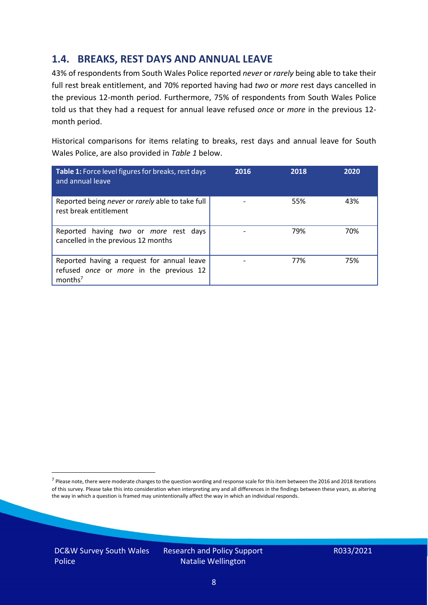### **1.4. BREAKS, REST DAYS AND ANNUAL LEAVE**

43% of respondents from South Wales Police reported *never* or *rarely* being able to take their full rest break entitlement, and 70% reported having had *two* or *more* rest days cancelled in the previous 12-month period. Furthermore, 75% of respondents from South Wales Police told us that they had a request for annual leave refused *once* or *more* in the previous 12 month period.

Historical comparisons for items relating to breaks, rest days and annual leave for South Wales Police, are also provided in *Table 1* below.

| Table 1: Force level figures for breaks, rest days<br>and annual leave                                       | 2016 | 2018 | 2020 |
|--------------------------------------------------------------------------------------------------------------|------|------|------|
| Reported being never or rarely able to take full<br>rest break entitlement                                   |      | 55%  | 43%  |
| Reported having two or more rest days<br>cancelled in the previous 12 months                                 |      | 79%  | 70%  |
| Reported having a request for annual leave<br>refused once or more in the previous 12<br>months <sup>7</sup> |      | 77%  | 75%  |

DC&W Survey South Wales Police

<sup>&</sup>lt;sup>7</sup> Please note, there were moderate changes to the question wording and response scale for this item between the 2016 and 2018 iterations of this survey. Please take this into consideration when interpreting any and all differences in the findings between these years, as altering the way in which a question is framed may unintentionally affect the way in which an individual responds.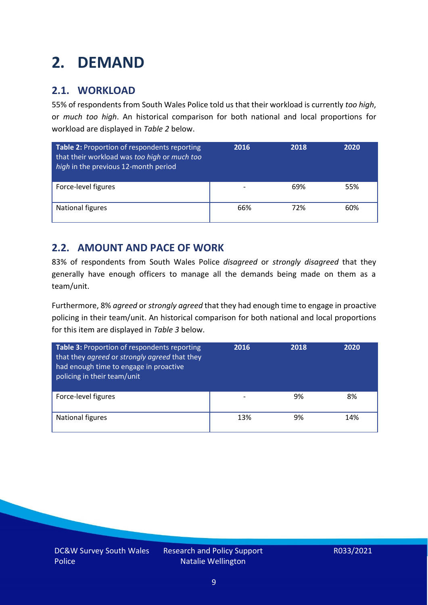# <span id="page-8-0"></span>**2. DEMAND**

### **2.1. WORKLOAD**

55% of respondents from South Wales Police told us that their workload is currently *too high*, or *much too high*. An historical comparison for both national and local proportions for workload are displayed in *Table 2* below.

| Table 2: Proportion of respondents reporting<br>that their workload was too high or much too<br>high in the previous 12-month period | 2016 | 2018 | 2020 |
|--------------------------------------------------------------------------------------------------------------------------------------|------|------|------|
| Force-level figures                                                                                                                  |      | 69%  | 55%  |
| National figures                                                                                                                     | 66%  | 72%  | 60%  |

### **2.2. AMOUNT AND PACE OF WORK**

83% of respondents from South Wales Police *disagreed* or *strongly disagreed* that they generally have enough officers to manage all the demands being made on them as a team/unit.

Furthermore, 8% *agreed* or *strongly agreed* that they had enough time to engage in proactive policing in their team/unit. An historical comparison for both national and local proportions for this item are displayed in *Table 3* below.

| Table 3: Proportion of respondents reporting<br>that they agreed or strongly agreed that they<br>had enough time to engage in proactive<br>policing in their team/unit | 2016 | 2018 | 2020 |
|------------------------------------------------------------------------------------------------------------------------------------------------------------------------|------|------|------|
| Force-level figures                                                                                                                                                    |      | 9%   | 8%   |
| National figures                                                                                                                                                       | 13%  | 9%   | 14%  |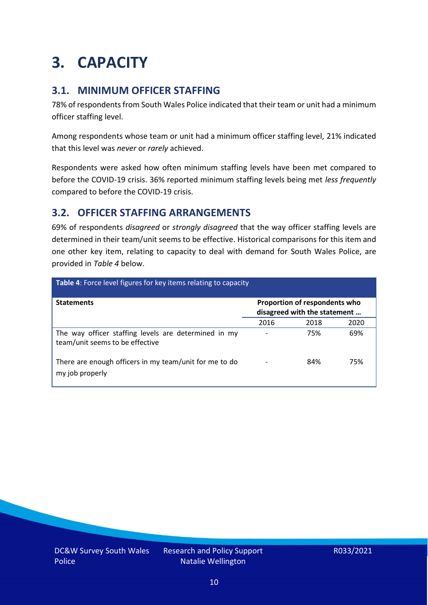# <span id="page-9-0"></span>**3. CAPACITY**

### **3.1. MINIMUM OFFICER STAFFING**

78% of respondents from South Wales Police indicated that their team or unit had a minimum officer staffing level.

Among respondents whose team or unit had a minimum officer staffing level, 21% indicated that this level was *never* or *rarely* achieved.

Respondents were asked how often minimum staffing levels have been met compared to before the COVID-19 crisis. 36% reported minimum staffing levels being met *less frequently* compared to before the COVID-19 crisis.

### **3.2. OFFICER STAFFING ARRANGEMENTS**

69% of respondents *disagreed* or *strongly disagreed* that the way officer staffing levels are determined in their team/unit seems to be effective. Historical comparisons for this item and one other key item, relating to capacity to deal with demand for South Wales Police, are provided in *Table 4* below.

| <b>Table 4:</b> Force level figures for key items relating to capacity                  |      |                                                               |      |  |
|-----------------------------------------------------------------------------------------|------|---------------------------------------------------------------|------|--|
| <b>Statements</b>                                                                       |      | Proportion of respondents who<br>disagreed with the statement |      |  |
|                                                                                         | 2016 | 2018                                                          | 2020 |  |
| The way officer staffing levels are determined in my<br>team/unit seems to be effective |      | 75%                                                           | 69%  |  |
| There are enough officers in my team/unit for me to do<br>my job properly               |      | 84%                                                           | 75%  |  |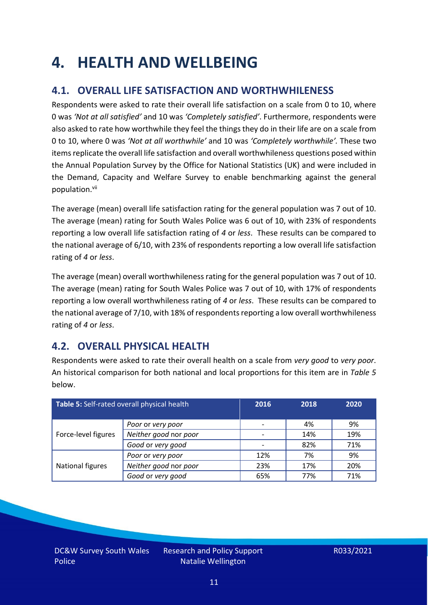### <span id="page-10-0"></span>**4. HEALTH AND WELLBEING**

### **4.1. OVERALL LIFE SATISFACTION AND WORTHWHILENESS**

Respondents were asked to rate their overall life satisfaction on a scale from 0 to 10, where 0 was *'Not at all satisfied'* and 10 was *'Completely satisfied'*. Furthermore, respondents were also asked to rate how worthwhile they feel the things they do in their life are on a scale from 0 to 10, where 0 was *'Not at all worthwhile'* and 10 was *'Completely worthwhile'.* These two items replicate the overall life satisfaction and overall worthwhileness questions posed within the Annual Population Survey by the Office for National Statistics (UK) and were included in the Demand, Capacity and Welfare Survey to enable benchmarking against the general population. vii

The average (mean) overall life satisfaction rating for the general population was 7 out of 10. The average (mean) rating for South Wales Police was 6 out of 10, with 23% of respondents reporting a low overall life satisfaction rating of *4* or *less*. These results can be compared to the national average of 6/10, with 23% of respondents reporting a low overall life satisfaction rating of *4* or *less*.

The average (mean) overall worthwhileness rating for the general population was 7 out of 10. The average (mean) rating for South Wales Police was 7 out of 10, with 17% of respondents reporting a low overall worthwhileness rating of *4* or *less*. These results can be compared to the national average of 7/10, with 18% of respondents reporting a low overall worthwhileness rating of *4* or *less*.

### **4.2. OVERALL PHYSICAL HEALTH**

Respondents were asked to rate their overall health on a scale from *very good* to *very poor*. An historical comparison for both national and local proportions for this item are in *Table 5* below.

| Table 5: Self-rated overall physical health |                       | 2016 | 2018 | 2020 |
|---------------------------------------------|-----------------------|------|------|------|
|                                             | Poor or very poor     |      | 4%   | 9%   |
| Force-level figures                         | Neither good nor poor |      | 14%  | 19%  |
|                                             | Good or very good     |      | 82%  | 71%  |
|                                             | Poor or very poor     | 12%  | 7%   | 9%   |
| National figures                            | Neither good nor poor | 23%  | 17%  | 20%  |
|                                             | Good or very good     | 65%  | 77%  | 71%  |

DC&W Survey South Wales Police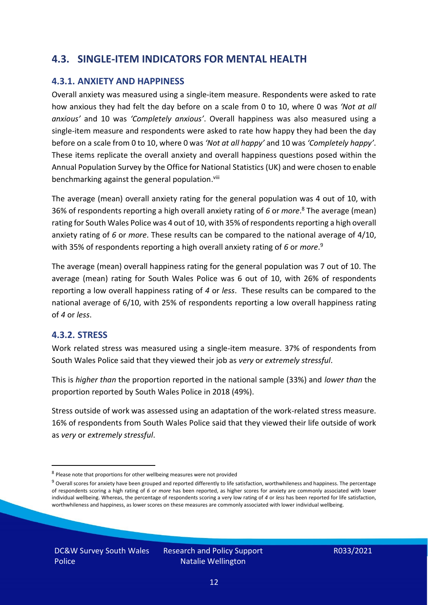#### **4.3. SINGLE-ITEM INDICATORS FOR MENTAL HEALTH**

#### **4.3.1. ANXIETY AND HAPPINESS**

Overall anxiety was measured using a single-item measure. Respondents were asked to rate how anxious they had felt the day before on a scale from 0 to 10, where 0 was *'Not at all anxious'* and 10 was *'Completely anxious'*. Overall happiness was also measured using a single-item measure and respondents were asked to rate how happy they had been the day before on a scale from 0 to 10, where 0 was *'Not at all happy'* and 10 was *'Completely happy'*. These items replicate the overall anxiety and overall happiness questions posed within the Annual Population Survey by the Office for National Statistics (UK) and were chosen to enable benchmarking against the general population.<sup>viii</sup>

The average (mean) overall anxiety rating for the general population was 4 out of 10, with 36% of respondents reporting a high overall anxiety rating of *6* or *more*. <sup>8</sup> The average (mean) rating for South Wales Police was 4 out of 10, with 35% of respondents reporting a high overall anxiety rating of *6* or *more*. These results can be compared to the national average of 4/10, with 35% of respondents reporting a high overall anxiety rating of *6* or *more*. 9

The average (mean) overall happiness rating for the general population was 7 out of 10. The average (mean) rating for South Wales Police was 6 out of 10, with 26% of respondents reporting a low overall happiness rating of *4* or *less*. These results can be compared to the national average of 6/10, with 25% of respondents reporting a low overall happiness rating of *4* or *less*.

#### **4.3.2. STRESS**

Work related stress was measured using a single-item measure. 37% of respondents from South Wales Police said that they viewed their job as *very* or *extremely stressful*.

This is *higher than* the proportion reported in the national sample (33%) and *lower than* the proportion reported by South Wales Police in 2018 (49%).

Stress outside of work was assessed using an adaptation of the work-related stress measure. 16% of respondents from South Wales Police said that they viewed their life outside of work as *very* or *extremely stressful*.

<sup>&</sup>lt;sup>8</sup> Please note that proportions for other wellbeing measures were not provided

 $9$  Overall scores for anxiety have been grouped and reported differently to life satisfaction, worthwhileness and happiness. The percentage of respondents scoring a high rating of *6* or *more* has been reported, as higher scores for anxiety are commonly associated with lower individual wellbeing. Whereas, the percentage of respondents scoring a very low rating of *4* or *less* has been reported for life satisfaction, worthwhileness and happiness, as lower scores on these measures are commonly associated with lower individual wellbeing.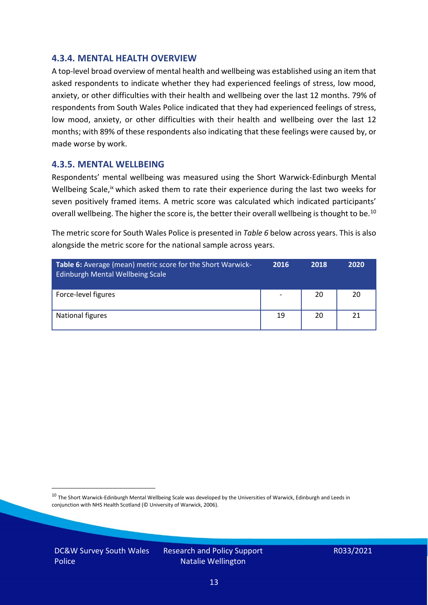#### **4.3.4. MENTAL HEALTH OVERVIEW**

A top-level broad overview of mental health and wellbeing was established using an item that asked respondents to indicate whether they had experienced feelings of stress, low mood, anxiety, or other difficulties with their health and wellbeing over the last 12 months. 79% of respondents from South Wales Police indicated that they had experienced feelings of stress, low mood, anxiety, or other difficulties with their health and wellbeing over the last 12 months; with 89% of these respondents also indicating that these feelings were caused by, or made worse by work.

#### **4.3.5. MENTAL WELLBEING**

Respondents' mental wellbeing was measured using the Short Warwick-Edinburgh Mental Wellbeing Scale,<sup>ix</sup> which asked them to rate their experience during the last two weeks for seven positively framed items. A metric score was calculated which indicated participants' overall wellbeing. The higher the score is, the better their overall wellbeing is thought to be.<sup>10</sup>

The metric score for South Wales Police is presented in *Table 6* below across years. This is also alongside the metric score for the national sample across years.

| <b>Table 6:</b> Average (mean) metric score for the Short Warwick-<br>Edinburgh Mental Wellbeing Scale | 2016 | 2018 | 2020 |
|--------------------------------------------------------------------------------------------------------|------|------|------|
| Force-level figures                                                                                    |      | 20   | 20   |
| National figures                                                                                       | 19   | 20   | 21   |

 $10$  The Short Warwick-Edinburgh Mental Wellbeing Scale was developed by the Universities of Warwick, Edinburgh and Leeds in conjunction with NHS Health Scotland (© University of Warwick, 2006).

DC&W Survey South Wales Police

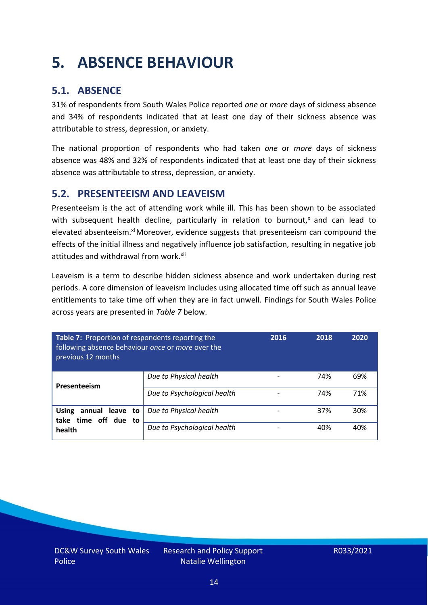# <span id="page-13-0"></span>**5. ABSENCE BEHAVIOUR**

### **5.1. ABSENCE**

31% of respondents from South Wales Police reported *one* or *more* days of sickness absence and 34% of respondents indicated that at least one day of their sickness absence was attributable to stress, depression, or anxiety.

The national proportion of respondents who had taken *one* or *more* days of sickness absence was 48% and 32% of respondents indicated that at least one day of their sickness absence was attributable to stress, depression, or anxiety.

#### **5.2. PRESENTEEISM AND LEAVEISM**

Presenteeism is the act of attending work while ill. This has been shown to be associated with subsequent health decline, particularly in relation to burnout, $x$  and can lead to elevated absenteeism.<sup>xi</sup> Moreover, evidence suggests that presenteeism can compound the effects of the initial illness and negatively influence job satisfaction, resulting in negative job attitudes and withdrawal from work.<sup>xii</sup>

Leaveism is a term to describe hidden sickness absence and work undertaken during rest periods. A core dimension of leaveism includes using allocated time off such as annual leave entitlements to take time off when they are in fact unwell. Findings for South Wales Police across years are presented in *Table 7* below.

| Table 7: Proportion of respondents reporting the<br>following absence behaviour once or more over the<br>previous 12 months |                             | 2016 | 2018 | 2020 |
|-----------------------------------------------------------------------------------------------------------------------------|-----------------------------|------|------|------|
| Presenteeism                                                                                                                | Due to Physical health      |      | 74%  | 69%  |
|                                                                                                                             | Due to Psychological health |      | 74%  | 71%  |
| annual leave to<br><b>Using</b><br>take time off due to<br>health                                                           | Due to Physical health      |      | 37%  | 30%  |
|                                                                                                                             | Due to Psychological health |      | 40%  | 40%  |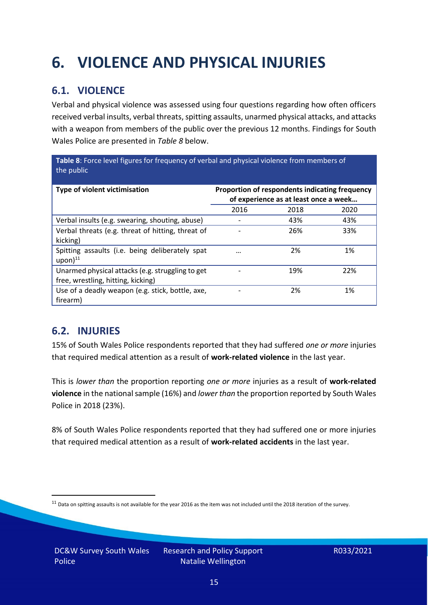# <span id="page-14-0"></span>**6. VIOLENCE AND PHYSICAL INJURIES**

### **6.1. VIOLENCE**

Verbal and physical violence was assessed using four questions regarding how often officers received verbal insults, verbal threats, spitting assaults, unarmed physical attacks, and attacks with a weapon from members of the public over the previous 12 months. Findings for South Wales Police are presented in *Table 8* below.

**Table 8**: Force level figures for frequency of verbal and physical violence from members of the public

| Type of violent victimisation                                                          | Proportion of respondents indicating frequency<br>of experience as at least once a week |      |      |
|----------------------------------------------------------------------------------------|-----------------------------------------------------------------------------------------|------|------|
|                                                                                        | 2016                                                                                    | 2018 | 2020 |
| Verbal insults (e.g. swearing, shouting, abuse)                                        |                                                                                         | 43%  | 43%  |
| Verbal threats (e.g. threat of hitting, threat of<br>kicking)                          |                                                                                         | 26%  | 33%  |
| Spitting assaults (i.e. being deliberately spat<br>$upon)$ <sup>11</sup>               | $\cdots$                                                                                | 2%   | 1%   |
| Unarmed physical attacks (e.g. struggling to get<br>free, wrestling, hitting, kicking) |                                                                                         | 19%  | 22%  |
| Use of a deadly weapon (e.g. stick, bottle, axe,<br>firearm)                           |                                                                                         | 2%   | 1%   |

### **6.2. INJURIES**

15% of South Wales Police respondents reported that they had suffered *one or more* injuries that required medical attention as a result of **work-related violence** in the last year.

This is *lower than* the proportion reporting *one or more* injuries as a result of **work-related violence** in the national sample (16%) and *lower than* the proportion reported by South Wales Police in 2018 (23%).

8% of South Wales Police respondents reported that they had suffered one or more injuries that required medical attention as a result of **work-related accidents** in the last year.

 $11$  Data on spitting assaults is not available for the year 2016 as the item was not included until the 2018 iteration of the survey.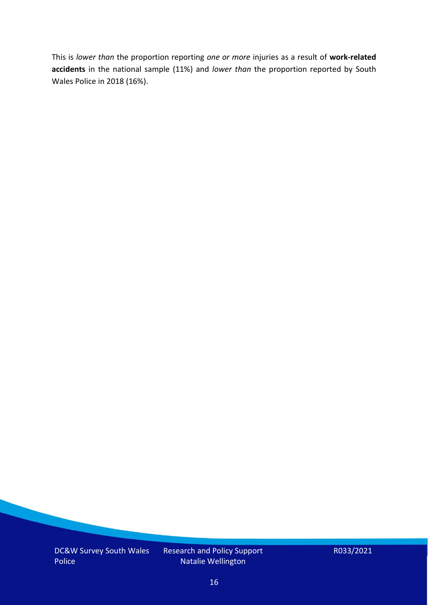This is *lower than* the proportion reporting *one or more* injuries as a result of **work-related accidents** in the national sample (11%) and *lower than* the proportion reported by South Wales Police in 2018 (16%).

DC&W Survey South Wales Police

Research and Policy Support Natalie Wellington

R033/2021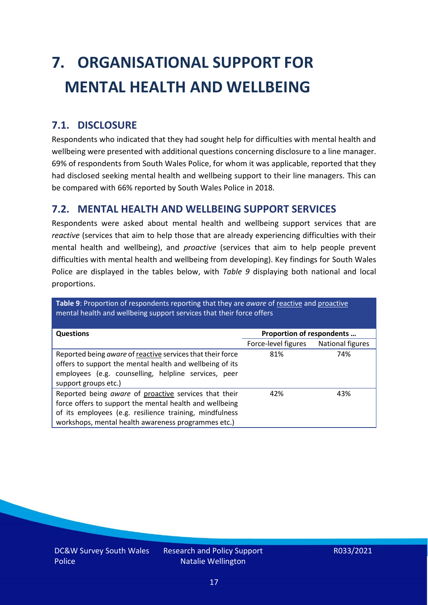# <span id="page-16-0"></span>**7. ORGANISATIONAL SUPPORT FOR MENTAL HEALTH AND WELLBEING**

### **7.1. DISCLOSURE**

Respondents who indicated that they had sought help for difficulties with mental health and wellbeing were presented with additional questions concerning disclosure to a line manager. 69% of respondents from South Wales Police, for whom it was applicable, reported that they had disclosed seeking mental health and wellbeing support to their line managers. This can be compared with 66% reported by South Wales Police in 2018.

#### **7.2. MENTAL HEALTH AND WELLBEING SUPPORT SERVICES**

Respondents were asked about mental health and wellbeing support services that are *reactive* (services that aim to help those that are already experiencing difficulties with their mental health and wellbeing), and *proactive* (services that aim to help people prevent difficulties with mental health and wellbeing from developing). Key findings for South Wales Police are displayed in the tables below, with *Table 9* displaying both national and local proportions.

**Table 9**: Proportion of respondents reporting that they are *aware* of reactive and proactive mental health and wellbeing support services that their force offers

| <b>Questions</b>                                                                                                                                                                                                                   | Proportion of respondents |                  |
|------------------------------------------------------------------------------------------------------------------------------------------------------------------------------------------------------------------------------------|---------------------------|------------------|
|                                                                                                                                                                                                                                    | Force-level figures       | National figures |
| Reported being aware of reactive services that their force<br>offers to support the mental health and wellbeing of its<br>employees (e.g. counselling, helpline services, peer<br>support groups etc.)                             | 81%                       | 74%              |
| Reported being aware of proactive services that their<br>force offers to support the mental health and wellbeing<br>of its employees (e.g. resilience training, mindfulness<br>workshops, mental health awareness programmes etc.) | 42%                       | 43%              |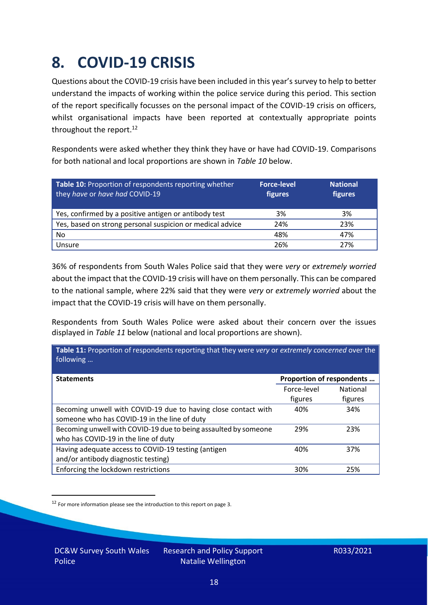### <span id="page-17-0"></span>**8. COVID-19 CRISIS**

Questions about the COVID-19 crisis have been included in this year's survey to help to better understand the impacts of working within the police service during this period. This section of the report specifically focusses on the personal impact of the COVID-19 crisis on officers, whilst organisational impacts have been reported at contextually appropriate points throughout the report.<sup>12</sup>

Respondents were asked whether they think they have or have had COVID-19. Comparisons for both national and local proportions are shown in *Table 10* below.

| Table 10: Proportion of respondents reporting whether<br>they have or have had COVID-19 | <b>Force-level</b><br>figures | <b>National</b><br>figures |
|-----------------------------------------------------------------------------------------|-------------------------------|----------------------------|
| Yes, confirmed by a positive antigen or antibody test                                   | 3%                            | 3%                         |
| Yes, based on strong personal suspicion or medical advice                               | 24%                           | 23%                        |
| No                                                                                      | 48%                           | 47%                        |
| Unsure                                                                                  | 26%                           | 27%                        |

36% of respondents from South Wales Police said that they were *very* or *extremely worried* about the impact that the COVID-19 crisis will have on them personally. This can be compared to the national sample, where 22% said that they were *very* or *extremely worried* about the impact that the COVID-19 crisis will have on them personally.

Respondents from South Wales Police were asked about their concern over the issues displayed in *Table 11* below (national and local proportions are shown).

| Table 11: Proportion of respondents reporting that they were very or extremely concerned over the<br>following |                           |                 |
|----------------------------------------------------------------------------------------------------------------|---------------------------|-----------------|
| <b>Statements</b>                                                                                              | Proportion of respondents |                 |
|                                                                                                                | Force-level               | <b>National</b> |
|                                                                                                                | figures                   | figures         |
| Becoming unwell with COVID-19 due to having close contact with                                                 | 40%                       | 34%             |
| someone who has COVID-19 in the line of duty                                                                   |                           |                 |
| Becoming unwell with COVID-19 due to being assaulted by someone                                                | 29%                       | 23%             |
| who has COVID-19 in the line of duty                                                                           |                           |                 |
| Having adequate access to COVID-19 testing (antigen                                                            | 40%                       | 37%             |
| and/or antibody diagnostic testing)                                                                            |                           |                 |
| Enforcing the lockdown restrictions                                                                            | 30%                       | 25%             |

<sup>12</sup> For more information please see the introduction to this report on page 3.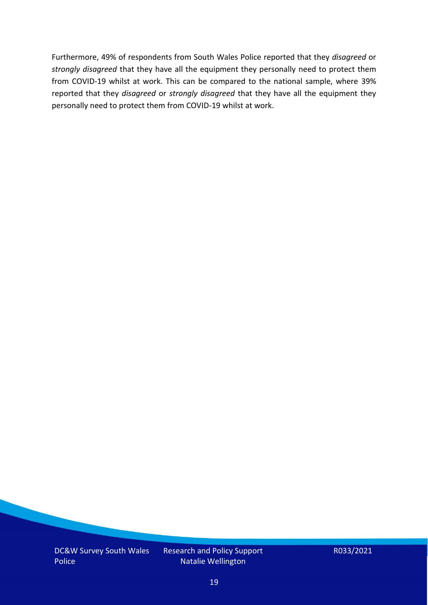Furthermore, 49% of respondents from South Wales Police reported that they *disagreed* or *strongly disagreed* that they have all the equipment they personally need to protect them from COVID-19 whilst at work. This can be compared to the national sample, where 39% reported that they *disagreed* or *strongly disagreed* that they have all the equipment they personally need to protect them from COVID-19 whilst at work.

DC&W Survey South Wales Police

Research and Policy Support Natalie Wellington

R033/2021